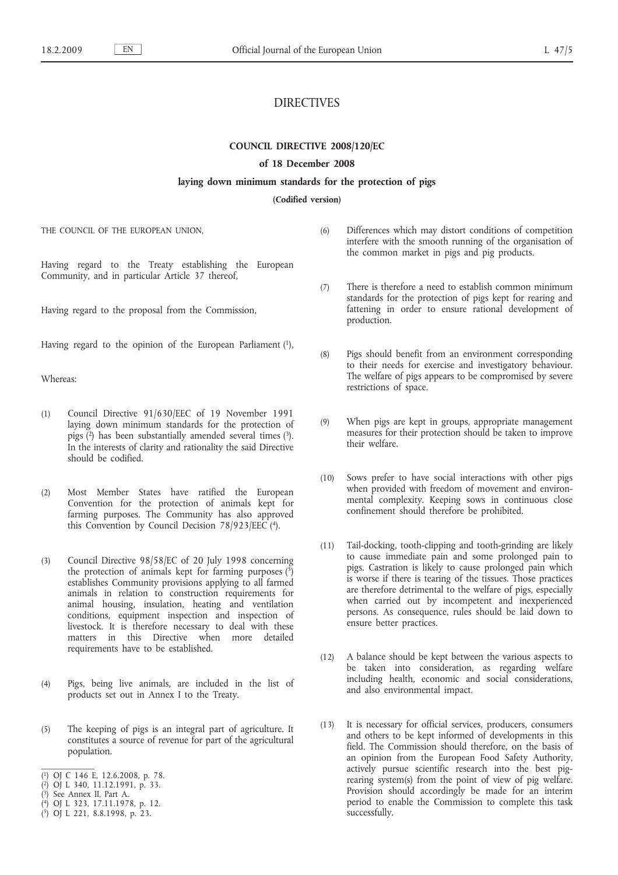# DIRECTIVES

## **COUNCIL DIRECTIVE 2008/120/EC**

## **of 18 December 2008**

#### **laying down minimum standards for the protection of pigs**

#### **(Codified version)**

THE COUNCIL OF THE EUROPEAN UNION,

Having regard to the Treaty establishing the European Community, and in particular Article 37 thereof,

Having regard to the proposal from the Commission,

Having regard to the opinion of the European Parliament (1),

Whereas:

- (1) Council Directive 91/630/EEC of 19 November 1991 laying down minimum standards for the protection of pigs (2) has been substantially amended several times (3). In the interests of clarity and rationality the said Directive should be codified.
- (2) Most Member States have ratified the European Convention for the protection of animals kept for farming purposes. The Community has also approved this Convention by Council Decision 78/923/EEC (4).
- (3) Council Directive 98/58/EC of 20 July 1998 concerning the protection of animals kept for farming purposes  $(5)$ establishes Community provisions applying to all farmed animals in relation to construction requirements for animal housing, insulation, heating and ventilation conditions, equipment inspection and inspection of livestock. It is therefore necessary to deal with these matters in this Directive when more detailed requirements have to be established.
- (4) Pigs, being live animals, are included in the list of products set out in Annex I to the Treaty.
- (5) The keeping of pigs is an integral part of agriculture. It constitutes a source of revenue for part of the agricultural population.

- ( 2) OJ L 340, 11.12.1991, p. 33.
- ( 3) See Annex II, Part A.
- ( 4) OJ L 323, 17.11.1978, p. 12.
- ( 5) OJ L 221, 8.8.1998, p. 23.
- (6) Differences which may distort conditions of competition interfere with the smooth running of the organisation of the common market in pigs and pig products.
- (7) There is therefore a need to establish common minimum standards for the protection of pigs kept for rearing and fattening in order to ensure rational development of production.
- (8) Pigs should benefit from an environment corresponding to their needs for exercise and investigatory behaviour. The welfare of pigs appears to be compromised by severe restrictions of space.
- (9) When pigs are kept in groups, appropriate management measures for their protection should be taken to improve their welfare.
- (10) Sows prefer to have social interactions with other pigs when provided with freedom of movement and environmental complexity. Keeping sows in continuous close confinement should therefore be prohibited.
- (11) Tail-docking, tooth-clipping and tooth-grinding are likely to cause immediate pain and some prolonged pain to pigs. Castration is likely to cause prolonged pain which is worse if there is tearing of the tissues. Those practices are therefore detrimental to the welfare of pigs, especially when carried out by incompetent and inexperienced persons. As consequence, rules should be laid down to ensure better practices.
- (12) A balance should be kept between the various aspects to be taken into consideration, as regarding welfare including health, economic and social considerations, and also environmental impact.
- (13) It is necessary for official services, producers, consumers and others to be kept informed of developments in this field. The Commission should therefore, on the basis of an opinion from the European Food Safety Authority, actively pursue scientific research into the best pigrearing system(s) from the point of view of pig welfare. Provision should accordingly be made for an interim period to enable the Commission to complete this task successfully.

<sup>(</sup> 1) OJ C 146 E, 12.6.2008, p. 78.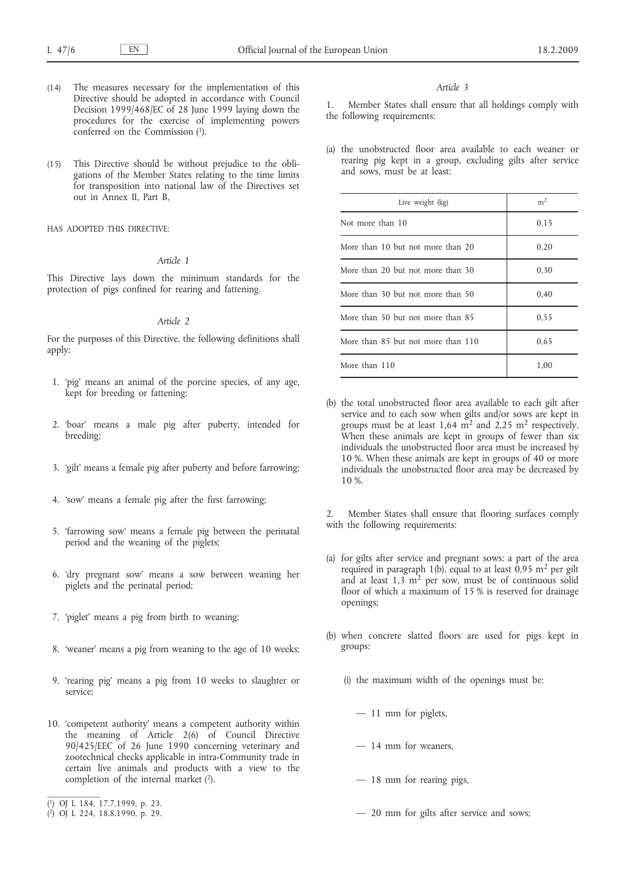- (14) The measures necessary for the implementation of this Directive should be adopted in accordance with Council Decision 1999/468/EC of 28 June 1999 laying down the procedures for the exercise of implementing powers conferred on the Commission (1).
- (15) This Directive should be without prejudice to the obligations of the Member States relating to the time limits for transposition into national law of the Directives set out in Annex II, Part B,

HAS ADOPTED THIS DIRECTIVE:

## *Article 1*

This Directive lays down the minimum standards for the protection of pigs confined for rearing and fattening.

#### *Article 2*

For the purposes of this Directive, the following definitions shall apply:

- 1. 'pig' means an animal of the porcine species, of any age, kept for breeding or fattening;
- 2. 'boar' means a male pig after puberty, intended for breeding;
- 3. 'gilt' means a female pig after puberty and before farrowing;
- 4. 'sow' means a female pig after the first farrowing;
- 5. 'farrowing sow' means a female pig between the perinatal period and the weaning of the piglets;
- 6. 'dry pregnant sow' means a sow between weaning her piglets and the perinatal period;
- 7. 'piglet' means a pig from birth to weaning;
- 8. 'weaner' means a pig from weaning to the age of 10 weeks;
- 9. 'rearing pig' means a pig from 10 weeks to slaughter or service;
- 10. 'competent authority' means a competent authority within the meaning of Article 2(6) of Council Directive 90/425/EEC of 26 June 1990 concerning veterinary and zootechnical checks applicable in intra-Community trade in certain live animals and products with a view to the completion of the internal market  $(2)$ .

#### *Article 3*

1. Member States shall ensure that all holdings comply with the following requirements:

(a) the unobstructed floor area available to each weaner or rearing pig kept in a group, excluding gilts after service and sows, must be at least:

| Live weight (kg)                   | m <sup>2</sup> |
|------------------------------------|----------------|
| Not more than 10                   | 0.15           |
| More than 10 but not more than 20  | 0,20           |
| More than 20 but not more than 30  | 0,30           |
| More than 30 but not more than 50  | 0,40           |
| More than 50 but not more than 85  | 0.55           |
| More than 85 but not more than 110 | 0.65           |
| More than 110                      | 1,00           |

(b) the total unobstructed floor area available to each gilt after service and to each sow when gilts and/or sows are kept in groups must be at least  $1,64 \text{ m}^2$  and  $2,25 \text{ m}^2$  respectively. When these animals are kept in groups of fewer than six individuals the unobstructed floor area must be increased by 10 %. When these animals are kept in groups of 40 or more individuals the unobstructed floor area may be decreased by 10 %.

2. Member States shall ensure that flooring surfaces comply with the following requirements:

- (a) for gilts after service and pregnant sows: a part of the area required in paragraph 1(b), equal to at least  $0.95 \text{ m}^2$  per gilt and at least  $1,3 \text{ m}^2$  per sow, must be of continuous solid floor of which a maximum of 15 % is reserved for drainage openings;
- (b) when concrete slatted floors are used for pigs kept in groups:
	- (i) the maximum width of the openings must be:
		- $-11$  mm for piglets,
		- 14 mm for weaners,
		- 18 mm for rearing pigs,
		- 20 mm for gilts after service and sows;

<sup>(</sup> 1) OJ L 184, 17.7.1999, p. 23.

<sup>(</sup> 2) OJ L 224, 18.8.1990, p. 29.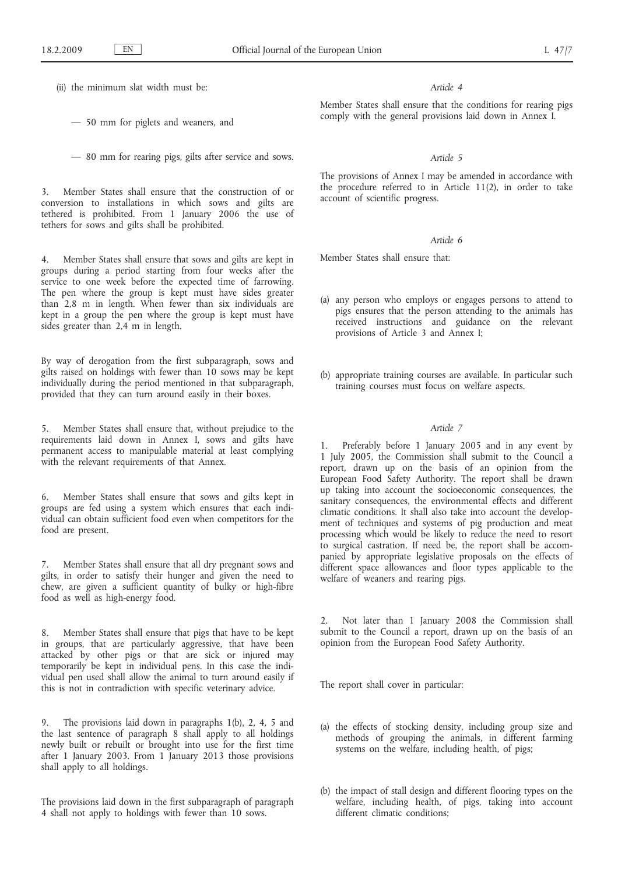(ii) the minimum slat width must be:

— 50 mm for piglets and weaners, and

— 80 mm for rearing pigs, gilts after service and sows.

3. Member States shall ensure that the construction of or conversion to installations in which sows and gilts are tethered is prohibited. From 1 January 2006 the use of tethers for sows and gilts shall be prohibited.

Member States shall ensure that sows and gilts are kept in groups during a period starting from four weeks after the service to one week before the expected time of farrowing. The pen where the group is kept must have sides greater than 2,8 m in length. When fewer than six individuals are kept in a group the pen where the group is kept must have sides greater than 2,4 m in length.

By way of derogation from the first subparagraph, sows and gilts raised on holdings with fewer than 10 sows may be kept individually during the period mentioned in that subparagraph, provided that they can turn around easily in their boxes.

5. Member States shall ensure that, without prejudice to the requirements laid down in Annex I, sows and gilts have permanent access to manipulable material at least complying with the relevant requirements of that Annex.

6. Member States shall ensure that sows and gilts kept in groups are fed using a system which ensures that each individual can obtain sufficient food even when competitors for the food are present.

7. Member States shall ensure that all dry pregnant sows and gilts, in order to satisfy their hunger and given the need to chew, are given a sufficient quantity of bulky or high-fibre food as well as high-energy food.

8. Member States shall ensure that pigs that have to be kept in groups, that are particularly aggressive, that have been attacked by other pigs or that are sick or injured may temporarily be kept in individual pens. In this case the individual pen used shall allow the animal to turn around easily if this is not in contradiction with specific veterinary advice.

9. The provisions laid down in paragraphs 1(b), 2, 4, 5 and the last sentence of paragraph 8 shall apply to all holdings newly built or rebuilt or brought into use for the first time after 1 January 2003. From 1 January 2013 those provisions shall apply to all holdings.

The provisions laid down in the first subparagraph of paragraph 4 shall not apply to holdings with fewer than 10 sows.

#### *Article 4*

Member States shall ensure that the conditions for rearing pigs comply with the general provisions laid down in Annex I.

## *Article 5*

The provisions of Annex I may be amended in accordance with the procedure referred to in Article 11(2), in order to take account of scientific progress.

## *Article 6*

Member States shall ensure that:

- (a) any person who employs or engages persons to attend to pigs ensures that the person attending to the animals has received instructions and guidance on the relevant provisions of Article 3 and Annex I;
- (b) appropriate training courses are available. In particular such training courses must focus on welfare aspects.

#### *Article 7*

Preferably before 1 January 2005 and in any event by 1 July 2005, the Commission shall submit to the Council a report, drawn up on the basis of an opinion from the European Food Safety Authority. The report shall be drawn up taking into account the socioeconomic consequences, the sanitary consequences, the environmental effects and different climatic conditions. It shall also take into account the development of techniques and systems of pig production and meat processing which would be likely to reduce the need to resort to surgical castration. If need be, the report shall be accompanied by appropriate legislative proposals on the effects of different space allowances and floor types applicable to the welfare of weaners and rearing pigs.

2. Not later than 1 January 2008 the Commission shall submit to the Council a report, drawn up on the basis of an opinion from the European Food Safety Authority.

The report shall cover in particular:

- (a) the effects of stocking density, including group size and methods of grouping the animals, in different farming systems on the welfare, including health, of pigs;
- (b) the impact of stall design and different flooring types on the welfare, including health, of pigs, taking into account different climatic conditions;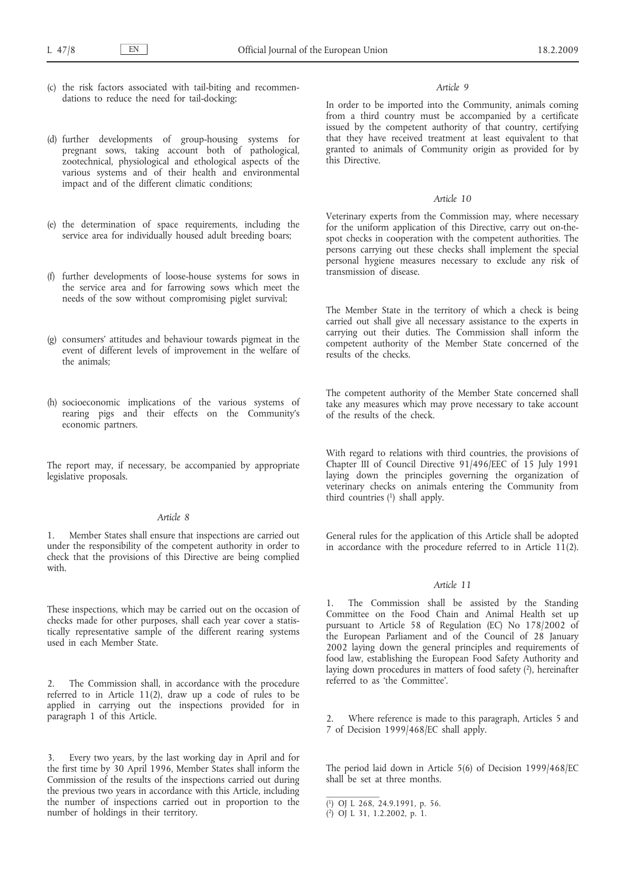- (c) the risk factors associated with tail-biting and recommendations to reduce the need for tail-docking;
- (d) further developments of group-housing systems for pregnant sows, taking account both of pathological, zootechnical, physiological and ethological aspects of the various systems and of their health and environmental impact and of the different climatic conditions;
- (e) the determination of space requirements, including the service area for individually housed adult breeding boars;
- (f) further developments of loose-house systems for sows in the service area and for farrowing sows which meet the needs of the sow without compromising piglet survival;
- (g) consumers' attitudes and behaviour towards pigmeat in the event of different levels of improvement in the welfare of the animals;
- (h) socioeconomic implications of the various systems of rearing pigs and their effects on the Community's economic partners.

The report may, if necessary, be accompanied by appropriate legislative proposals.

## *Article 8*

1. Member States shall ensure that inspections are carried out under the responsibility of the competent authority in order to check that the provisions of this Directive are being complied with.

These inspections, which may be carried out on the occasion of checks made for other purposes, shall each year cover a statistically representative sample of the different rearing systems used in each Member State.

2. The Commission shall, in accordance with the procedure referred to in Article 11(2), draw up a code of rules to be applied in carrying out the inspections provided for in paragraph 1 of this Article.

Every two years, by the last working day in April and for the first time by 30 April 1996, Member States shall inform the Commission of the results of the inspections carried out during the previous two years in accordance with this Article, including the number of inspections carried out in proportion to the number of holdings in their territory.

#### *Article 9*

In order to be imported into the Community, animals coming from a third country must be accompanied by a certificate issued by the competent authority of that country, certifying that they have received treatment at least equivalent to that granted to animals of Community origin as provided for by this Directive.

#### *Article 10*

Veterinary experts from the Commission may, where necessary for the uniform application of this Directive, carry out on-thespot checks in cooperation with the competent authorities. The persons carrying out these checks shall implement the special personal hygiene measures necessary to exclude any risk of transmission of disease.

The Member State in the territory of which a check is being carried out shall give all necessary assistance to the experts in carrying out their duties. The Commission shall inform the competent authority of the Member State concerned of the results of the checks.

The competent authority of the Member State concerned shall take any measures which may prove necessary to take account of the results of the check.

With regard to relations with third countries, the provisions of Chapter III of Council Directive 91/496/EEC of 15 July 1991 laying down the principles governing the organization of veterinary checks on animals entering the Community from third countries (1) shall apply.

General rules for the application of this Article shall be adopted in accordance with the procedure referred to in Article  $11(2)$ .

## *Article 11*

The Commission shall be assisted by the Standing Committee on the Food Chain and Animal Health set up pursuant to Article 58 of Regulation (EC) No 178/2002 of the European Parliament and of the Council of 28 January 2002 laying down the general principles and requirements of food law, establishing the European Food Safety Authority and laying down procedures in matters of food safety (2), hereinafter referred to as 'the Committee'.

2. Where reference is made to this paragraph, Articles 5 and 7 of Decision 1999/468/EC shall apply.

The period laid down in Article 5(6) of Decision 1999/468/EC shall be set at three months.

<sup>(</sup> 1) OJ L 268, 24.9.1991, p. 56.

<sup>(</sup> 2) OJ L 31, 1.2.2002, p. 1.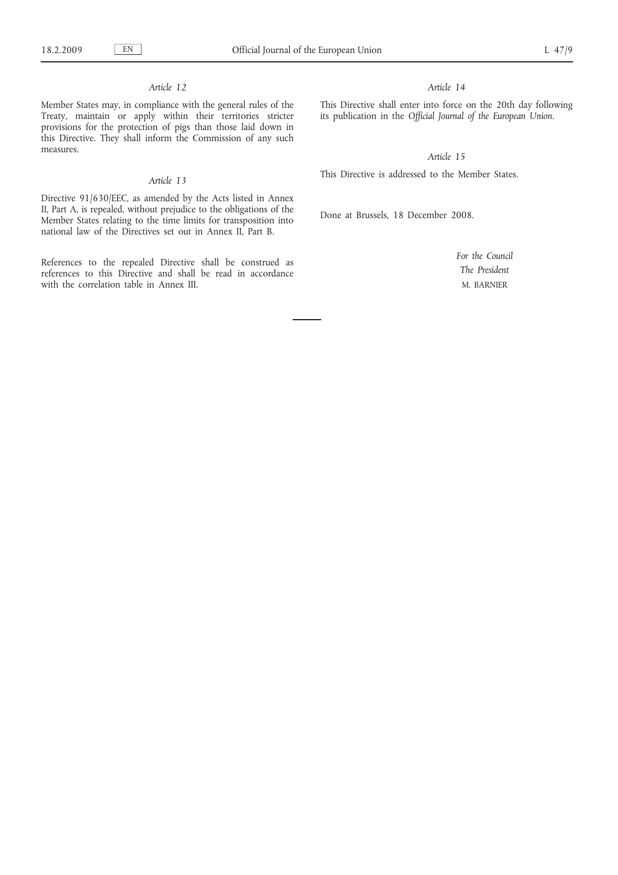## *Article 12*

Member States may, in compliance with the general rules of the Treaty, maintain or apply within their territories stricter provisions for the protection of pigs than those laid down in this Directive. They shall inform the Commission of any such measures.

## *Article 13*

Directive 91/630/EEC, as amended by the Acts listed in Annex II, Part A, is repealed, without prejudice to the obligations of the Member States relating to the time limits for transposition into national law of the Directives set out in Annex II, Part B.

References to the repealed Directive shall be construed as references to this Directive and shall be read in accordance with the correlation table in Annex III.

## *Article 14*

This Directive shall enter into force on the 20th day following its publication in the *Official Journal of the European Union*.

*Article 15*

This Directive is addressed to the Member States.

Done at Brussels, 18 December 2008.

*For the Council The President* M. BARNIER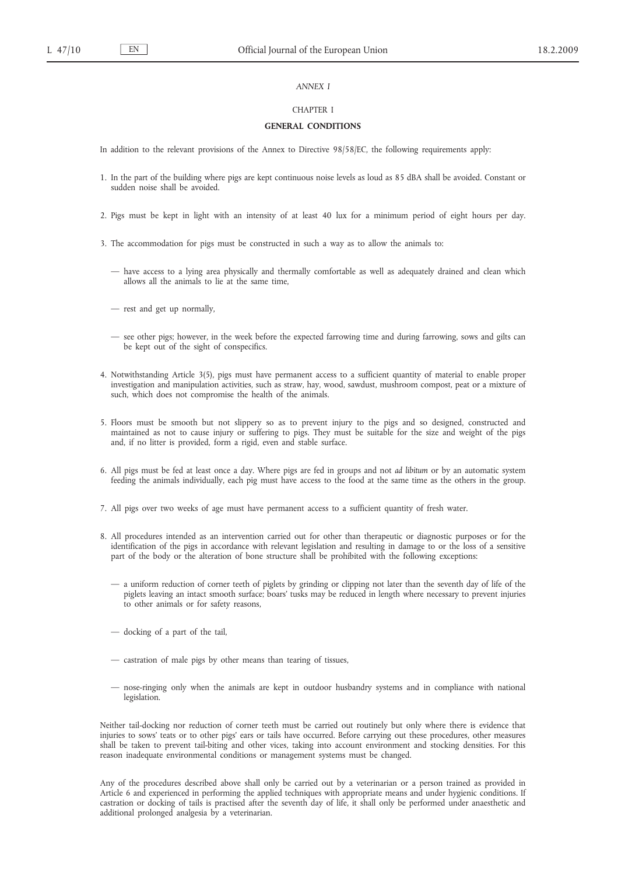#### *ANNEX I*

#### CHAPTER I

## **GENERAL CONDITIONS**

In addition to the relevant provisions of the Annex to Directive 98/58/EC, the following requirements apply:

- 1. In the part of the building where pigs are kept continuous noise levels as loud as 85 dBA shall be avoided. Constant or sudden noise shall be avoided.
- 2. Pigs must be kept in light with an intensity of at least 40 lux for a minimum period of eight hours per day.
- 3. The accommodation for pigs must be constructed in such a way as to allow the animals to:
	- have access to a lying area physically and thermally comfortable as well as adequately drained and clean which allows all the animals to lie at the same time,
	- rest and get up normally,
	- see other pigs; however, in the week before the expected farrowing time and during farrowing, sows and gilts can be kept out of the sight of conspecifics.
- 4. Notwithstanding Article 3(5), pigs must have permanent access to a sufficient quantity of material to enable proper investigation and manipulation activities, such as straw, hay, wood, sawdust, mushroom compost, peat or a mixture of such, which does not compromise the health of the animals.
- 5. Floors must be smooth but not slippery so as to prevent injury to the pigs and so designed, constructed and maintained as not to cause injury or suffering to pigs. They must be suitable for the size and weight of the pigs and, if no litter is provided, form a rigid, even and stable surface.
- 6. All pigs must be fed at least once a day. Where pigs are fed in groups and not *ad libitum* or by an automatic system feeding the animals individually, each pig must have access to the food at the same time as the others in the group.
- 7. All pigs over two weeks of age must have permanent access to a sufficient quantity of fresh water.
- 8. All procedures intended as an intervention carried out for other than therapeutic or diagnostic purposes or for the identification of the pigs in accordance with relevant legislation and resulting in damage to or the loss of a sensitive part of the body or the alteration of bone structure shall be prohibited with the following exceptions:
	- a uniform reduction of corner teeth of piglets by grinding or clipping not later than the seventh day of life of the piglets leaving an intact smooth surface; boars' tusks may be reduced in length where necessary to prevent injuries to other animals or for safety reasons,
	- docking of a part of the tail,
	- castration of male pigs by other means than tearing of tissues,
	- nose-ringing only when the animals are kept in outdoor husbandry systems and in compliance with national legislation.

Neither tail-docking nor reduction of corner teeth must be carried out routinely but only where there is evidence that injuries to sows' teats or to other pigs' ears or tails have occurred. Before carrying out these procedures, other measures shall be taken to prevent tail-biting and other vices, taking into account environment and stocking densities. For this reason inadequate environmental conditions or management systems must be changed.

Any of the procedures described above shall only be carried out by a veterinarian or a person trained as provided in Article 6 and experienced in performing the applied techniques with appropriate means and under hygienic conditions. If castration or docking of tails is practised after the seventh day of life, it shall only be performed under anaesthetic and additional prolonged analgesia by a veterinarian.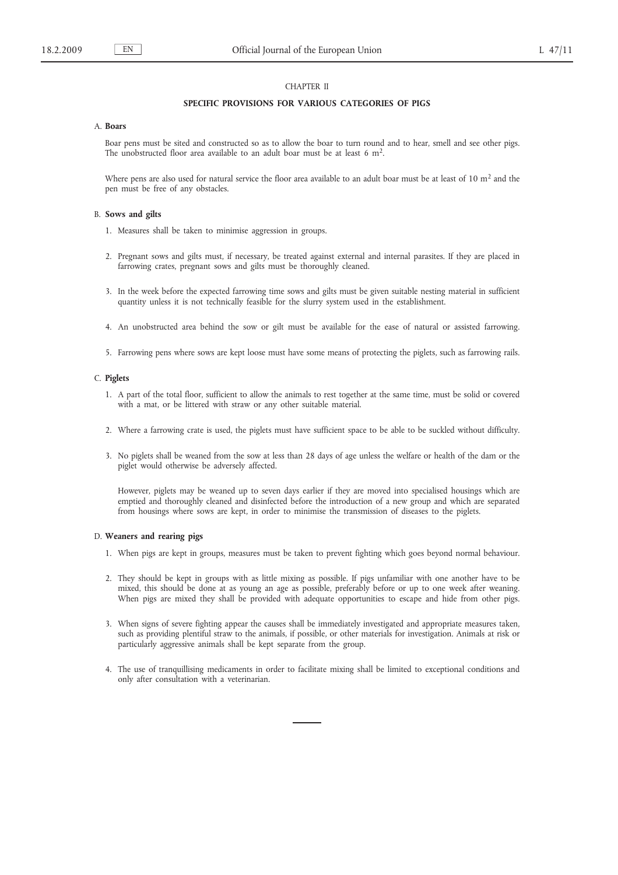## CHAPTER II

#### **SPECIFIC PROVISIONS FOR VARIOUS CATEGORIES OF PIGS**

## A. **Boars**

Boar pens must be sited and constructed so as to allow the boar to turn round and to hear, smell and see other pigs. The unobstructed floor area available to an adult boar must be at least 6  $m<sup>2</sup>$ .

Where pens are also used for natural service the floor area available to an adult boar must be at least of 10  $m<sup>2</sup>$  and the pen must be free of any obstacles.

#### B. **Sows and gilts**

- 1. Measures shall be taken to minimise aggression in groups.
- 2. Pregnant sows and gilts must, if necessary, be treated against external and internal parasites. If they are placed in farrowing crates, pregnant sows and gilts must be thoroughly cleaned.
- 3. In the week before the expected farrowing time sows and gilts must be given suitable nesting material in sufficient quantity unless it is not technically feasible for the slurry system used in the establishment.
- 4. An unobstructed area behind the sow or gilt must be available for the ease of natural or assisted farrowing.
- 5. Farrowing pens where sows are kept loose must have some means of protecting the piglets, such as farrowing rails.

#### C. **Piglets**

- 1. A part of the total floor, sufficient to allow the animals to rest together at the same time, must be solid or covered with a mat, or be littered with straw or any other suitable material.
- 2. Where a farrowing crate is used, the piglets must have sufficient space to be able to be suckled without difficulty.
- 3. No piglets shall be weaned from the sow at less than 28 days of age unless the welfare or health of the dam or the piglet would otherwise be adversely affected.

However, piglets may be weaned up to seven days earlier if they are moved into specialised housings which are emptied and thoroughly cleaned and disinfected before the introduction of a new group and which are separated from housings where sows are kept, in order to minimise the transmission of diseases to the piglets.

#### D. **Weaners and rearing pigs**

- 1. When pigs are kept in groups, measures must be taken to prevent fighting which goes beyond normal behaviour.
- 2. They should be kept in groups with as little mixing as possible. If pigs unfamiliar with one another have to be mixed, this should be done at as young an age as possible, preferably before or up to one week after weaning. When pigs are mixed they shall be provided with adequate opportunities to escape and hide from other pigs.
- 3. When signs of severe fighting appear the causes shall be immediately investigated and appropriate measures taken, such as providing plentiful straw to the animals, if possible, or other materials for investigation. Animals at risk or particularly aggressive animals shall be kept separate from the group.
- 4. The use of tranquillising medicaments in order to facilitate mixing shall be limited to exceptional conditions and only after consultation with a veterinarian.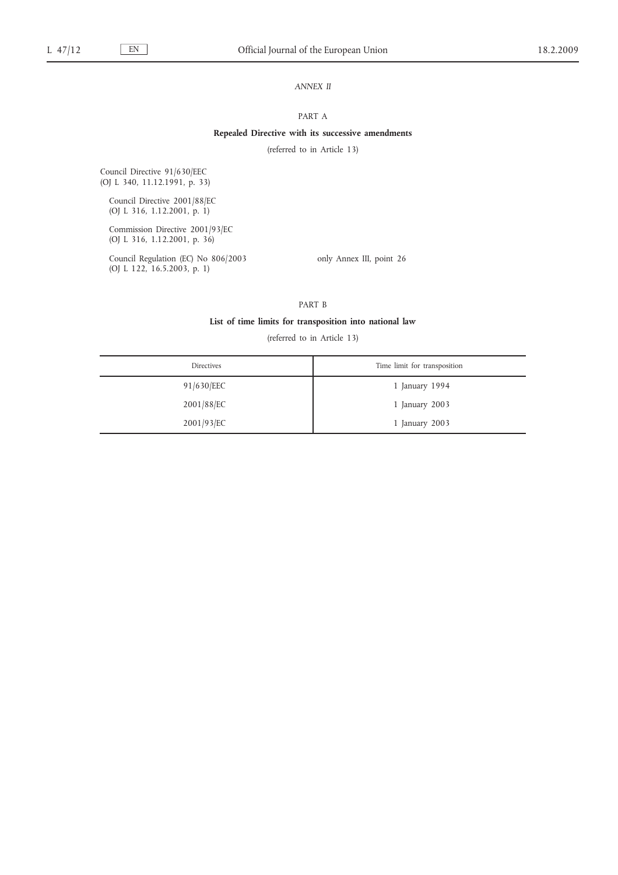## *ANNEX II*

#### PART A

## **Repealed Directive with its successive amendments**

(referred to in Article 13)

Council Directive 91/630/EEC (OJ L 340, 11.12.1991, p. 33)

Council Directive 2001/88/EC (OJ L 316, 1.12.2001, p. 1)

Commission Directive 2001/93/EC (OJ L 316, 1.12.2001, p. 36)

Council Regulation (EC) No 806/2003 (OJ L 122, 16.5.2003, p. 1)

only Annex III, point 26

PART B

### **List of time limits for transposition into national law**

(referred to in Article 13)

| Directives | Time limit for transposition |
|------------|------------------------------|
| 91/630/EEC | 1 January 1994               |
| 2001/88/EC | 1 January 2003               |
| 2001/93/EC | 1 January 2003               |